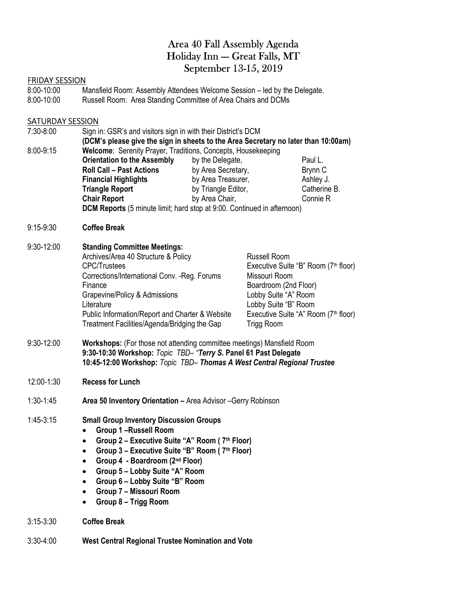## Area 40 Fall Assembly Agenda Holiday Inn -- Great Falls, MT September 13-15, 2019

#### FRIDAY SESSION

| 8:00-10:00 | Mansfield Room: Assembly Attendees Welcome Session – led by the Delegate. |
|------------|---------------------------------------------------------------------------|
| 8.00 10.00 | <b>Duccall Doom:</b> Area Standing Committee of Area Chairs and DCMs      |

8:00-10:00 Russell Room: Area Standing Committee of Area Chairs and DCMs

#### **SATURDAY SESSION**

| 7:30-8:00<br>8:00-9:15 | Sign in: GSR's and visitors sign in with their District's DCM<br>(DCM's please give the sign in sheets to the Area Secretary no later than 10:00am)<br>Welcome: Serenity Prayer, Traditions, Concepts, Housekeeping<br><b>Orientation to the Assembly</b><br><b>Roll Call - Past Actions</b><br><b>Financial Highlights</b>                                                                     | by the Delegate,<br>by Area Secretary,<br>by Area Treasurer, |                                                                                                                             | Paul L.<br>Brynn C<br>Ashley J.                                                                      |
|------------------------|-------------------------------------------------------------------------------------------------------------------------------------------------------------------------------------------------------------------------------------------------------------------------------------------------------------------------------------------------------------------------------------------------|--------------------------------------------------------------|-----------------------------------------------------------------------------------------------------------------------------|------------------------------------------------------------------------------------------------------|
|                        | <b>Triangle Report</b><br><b>Chair Report</b><br>DCM Reports (5 minute limit; hard stop at 9:00. Continued in afternoon)                                                                                                                                                                                                                                                                        | by Triangle Editor,<br>by Area Chair,                        |                                                                                                                             | Catherine B.<br>Connie R                                                                             |
| $9:15-9:30$            | <b>Coffee Break</b>                                                                                                                                                                                                                                                                                                                                                                             |                                                              |                                                                                                                             |                                                                                                      |
| 9:30-12:00             | <b>Standing Committee Meetings:</b><br>Archives/Area 40 Structure & Policy<br><b>CPC/Trustees</b><br>Corrections/International Conv. - Reg. Forums<br>Finance<br>Grapevine/Policy & Admissions<br>Literature<br>Public Information/Report and Charter & Website<br>Treatment Facilities/Agenda/Bridging the Gap                                                                                 |                                                              | <b>Russell Room</b><br>Missouri Room<br>Boardroom (2nd Floor)<br>Lobby Suite "A" Room<br>Lobby Suite "B" Room<br>Trigg Room | Executive Suite "B" Room (7 <sup>th</sup> floor)<br>Executive Suite "A" Room (7 <sup>th</sup> floor) |
| $9:30-12:00$           | Workshops: (For those not attending committee meetings) Mansfield Room<br>9:30-10:30 Workshop: Topic TBD- "Terry S. Panel 61 Past Delegate<br>10:45-12:00 Workshop: Topic TBD- Thomas A West Central Regional Trustee                                                                                                                                                                           |                                                              |                                                                                                                             |                                                                                                      |
| 12:00-1:30             | <b>Recess for Lunch</b>                                                                                                                                                                                                                                                                                                                                                                         |                                                              |                                                                                                                             |                                                                                                      |
| $1:30-1:45$            | Area 50 Inventory Orientation - Area Advisor - Gerry Robinson                                                                                                                                                                                                                                                                                                                                   |                                                              |                                                                                                                             |                                                                                                      |
| $1:45-3:15$            | <b>Small Group Inventory Discussion Groups</b><br><b>Group 1-Russell Room</b><br>$\bullet$<br>Group 2 – Executive Suite "A" Room (7th Floor)<br>$\bullet$<br>Group 3 - Executive Suite "B" Room (7th Floor)<br>$\bullet$<br>Group 4 - Boardroom (2nd Floor)<br>$\bullet$<br>Group 5 - Lobby Suite "A" Room<br>Group 6 - Lobby Suite "B" Room<br>Group 7 - Missouri Room<br>Group 8 - Trigg Room |                                                              |                                                                                                                             |                                                                                                      |
| $3:15 - 3:30$          | <b>Coffee Break</b>                                                                                                                                                                                                                                                                                                                                                                             |                                                              |                                                                                                                             |                                                                                                      |

3:30-4:00 West Central Regional Trustee Nomination and Vote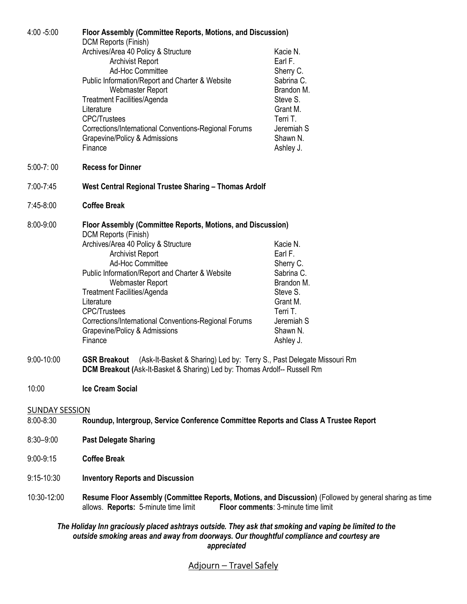| 4:00 -5:00            | Floor Assembly (Committee Reports, Motions, and Discussion)                                                                                                                                        |            |  |  |
|-----------------------|----------------------------------------------------------------------------------------------------------------------------------------------------------------------------------------------------|------------|--|--|
|                       | <b>DCM Reports (Finish)</b>                                                                                                                                                                        |            |  |  |
|                       | Archives/Area 40 Policy & Structure                                                                                                                                                                | Kacie N.   |  |  |
|                       | <b>Archivist Report</b>                                                                                                                                                                            | Earl F.    |  |  |
|                       | <b>Ad-Hoc Committee</b>                                                                                                                                                                            | Sherry C.  |  |  |
|                       | Public Information/Report and Charter & Website                                                                                                                                                    | Sabrina C. |  |  |
|                       | Webmaster Report                                                                                                                                                                                   | Brandon M. |  |  |
|                       | <b>Treatment Facilities/Agenda</b>                                                                                                                                                                 | Steve S.   |  |  |
|                       | Literature                                                                                                                                                                                         | Grant M.   |  |  |
|                       | <b>CPC/Trustees</b>                                                                                                                                                                                | Terri T.   |  |  |
|                       | Corrections/International Conventions-Regional Forums                                                                                                                                              | Jeremiah S |  |  |
|                       | Grapevine/Policy & Admissions                                                                                                                                                                      | Shawn N.   |  |  |
|                       | Finance                                                                                                                                                                                            | Ashley J.  |  |  |
| $5:00 - 7:00$         | <b>Recess for Dinner</b>                                                                                                                                                                           |            |  |  |
| 7:00-7:45             | West Central Regional Trustee Sharing - Thomas Ardolf                                                                                                                                              |            |  |  |
| 7:45-8:00             | <b>Coffee Break</b>                                                                                                                                                                                |            |  |  |
|                       |                                                                                                                                                                                                    |            |  |  |
| 8:00-9:00             | Floor Assembly (Committee Reports, Motions, and Discussion)                                                                                                                                        |            |  |  |
|                       | DCM Reports (Finish)                                                                                                                                                                               | Kacie N.   |  |  |
|                       | Archives/Area 40 Policy & Structure<br><b>Archivist Report</b>                                                                                                                                     | Earl F.    |  |  |
|                       | <b>Ad-Hoc Committee</b>                                                                                                                                                                            | Sherry C.  |  |  |
|                       | Public Information/Report and Charter & Website                                                                                                                                                    | Sabrina C. |  |  |
|                       | Webmaster Report                                                                                                                                                                                   | Brandon M. |  |  |
|                       | <b>Treatment Facilities/Agenda</b>                                                                                                                                                                 | Steve S.   |  |  |
|                       | Literature                                                                                                                                                                                         | Grant M.   |  |  |
|                       | <b>CPC/Trustees</b>                                                                                                                                                                                | Terri T.   |  |  |
|                       | Corrections/International Conventions-Regional Forums                                                                                                                                              | Jeremiah S |  |  |
|                       | Grapevine/Policy & Admissions                                                                                                                                                                      | Shawn N.   |  |  |
|                       | Finance                                                                                                                                                                                            | Ashley J.  |  |  |
| 9:00-10:00            | (Ask-It-Basket & Sharing) Led by: Terry S., Past Delegate Missouri Rm<br><b>GSR Breakout</b><br>DCM Breakout (Ask-It-Basket & Sharing) Led by: Thomas Ardolf-- Russell Rm                          |            |  |  |
| 10:00                 | <b>Ice Cream Social</b>                                                                                                                                                                            |            |  |  |
| <b>SUNDAY SESSION</b> |                                                                                                                                                                                                    |            |  |  |
| 8:00-8:30             | Roundup, Intergroup, Service Conference Committee Reports and Class A Trustee Report                                                                                                               |            |  |  |
| $8:30 - 9:00$         | <b>Past Delegate Sharing</b>                                                                                                                                                                       |            |  |  |
| $9:00-9:15$           | <b>Coffee Break</b>                                                                                                                                                                                |            |  |  |
| $9:15 - 10:30$        | <b>Inventory Reports and Discussion</b>                                                                                                                                                            |            |  |  |
| 10:30-12:00           | Resume Floor Assembly (Committee Reports, Motions, and Discussion) (Followed by general sharing as time<br>Floor comments: 3-minute time limit<br>allows. Reports: 5-minute time limit             |            |  |  |
|                       | The Holiday Inn graciously placed ashtrays outside. They ask that smoking and vaping be limited to the<br>outside smoking areas and away from doorways. Our thoughtful compliance and courtesy are |            |  |  |

appreciated

## Adjourn – Travel Safely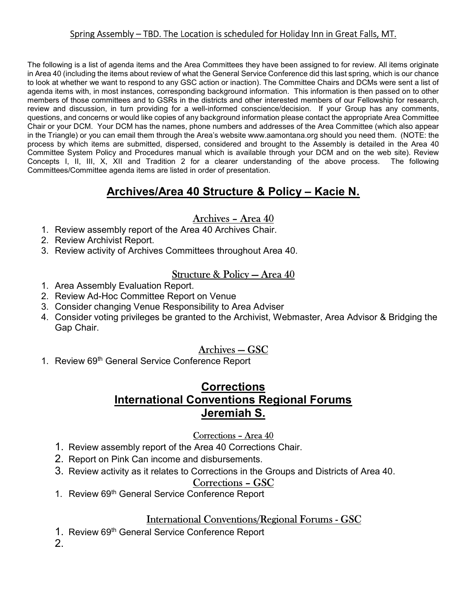#### Spring Assembly – TBD. The Location is scheduled for Holiday Inn in Great Falls, MT.

The following is a list of agenda items and the Area Committees they have been assigned to for review. All items originate in Area 40 (including the items about review of what the General Service Conference did this last spring, which is our chance to look at whether we want to respond to any GSC action or inaction). The Committee Chairs and DCMs were sent a list of agenda items with, in most instances, corresponding background information. This information is then passed on to other members of those committees and to GSRs in the districts and other interested members of our Fellowship for research, review and discussion, in turn providing for a well-informed conscience/decision. If your Group has any comments, questions, and concerns or would like copies of any background information please contact the appropriate Area Committee Chair or your DCM. Your DCM has the names, phone numbers and addresses of the Area Committee (which also appear in the Triangle) or you can email them through the Area's website www.aamontana.org should you need them. (NOTE: the process by which items are submitted, dispersed, considered and brought to the Assembly is detailed in the Area 40 Committee System Policy and Procedures manual which is available through your DCM and on the web site). Review Concepts I, II, III, X, XII and Tradition 2 for a clearer understanding of the above process. The following Committees/Committee agenda items are listed in order of presentation.

## Archives/Area 40 Structure & Policy – Kacie N.

#### Archives – Area 40

- 1. Review assembly report of the Area 40 Archives Chair.
- 2. Review Archivist Report.
- 3. Review activity of Archives Committees throughout Area 40.

### Structure & Policy — Area 40

- 1. Area Assembly Evaluation Report.
- 2. Review Ad-Hoc Committee Report on Venue
- 3. Consider changing Venue Responsibility to Area Adviser
- 4. Consider voting privileges be granted to the Archivist, Webmaster, Area Advisor & Bridging the Gap Chair.

### Archives — GSC

1. Review 69<sup>th</sup> General Service Conference Report

## **Corrections** International Conventions Regional Forums Jeremiah S.

#### Corrections – Area 40

- 1. Review assembly report of the Area 40 Corrections Chair.
- 2. Report on Pink Can income and disbursements.
- 3. Review activity as it relates to Corrections in the Groups and Districts of Area 40.

#### Corrections – GSC

1. Review 69th General Service Conference Report

### International Conventions/Regional Forums - GSC

1. Review 69th General Service Conference Report

2.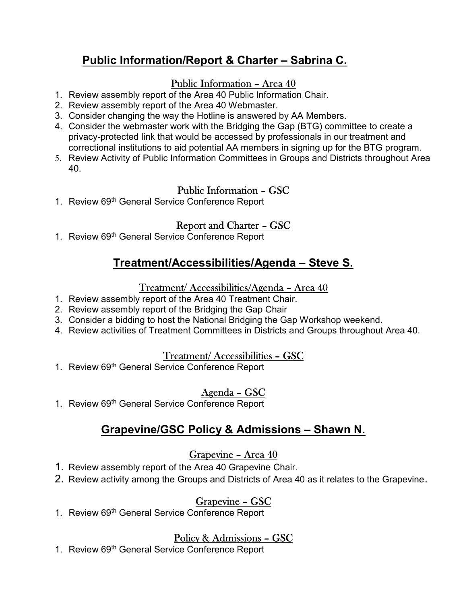# Public Information/Report & Charter – Sabrina C.

### Public Information – Area 40

- 1. Review assembly report of the Area 40 Public Information Chair.
- 2. Review assembly report of the Area 40 Webmaster.
- 3. Consider changing the way the Hotline is answered by AA Members.
- 4. Consider the webmaster work with the Bridging the Gap (BTG) committee to create a privacy-protected link that would be accessed by professionals in our treatment and correctional institutions to aid potential AA members in signing up for the BTG program.
- 5. Review Activity of Public Information Committees in Groups and Districts throughout Area 40.

## Public Information – GSC

1. Review 69<sup>th</sup> General Service Conference Report

## Report and Charter – GSC

1. Review 69<sup>th</sup> General Service Conference Report

## Treatment/Accessibilities/Agenda – Steve S.

### Treatment/ Accessibilities/Agenda – Area 40

- 1. Review assembly report of the Area 40 Treatment Chair.
- 2. Review assembly report of the Bridging the Gap Chair
- 3. Consider a bidding to host the National Bridging the Gap Workshop weekend.
- 4. Review activities of Treatment Committees in Districts and Groups throughout Area 40.

### Treatment/ Accessibilities – GSC

1. Review 69<sup>th</sup> General Service Conference Report

## Agenda – GSC

1. Review 69<sup>th</sup> General Service Conference Report

# Grapevine/GSC Policy & Admissions – Shawn N.

### Grapevine – Area 40

- 1. Review assembly report of the Area 40 Grapevine Chair.
- 2. Review activity among the Groups and Districts of Area 40 as it relates to the Grapevine.

## Grapevine – GSC

1. Review 69<sup>th</sup> General Service Conference Report

## Policy & Admissions – GSC

1. Review 69<sup>th</sup> General Service Conference Report